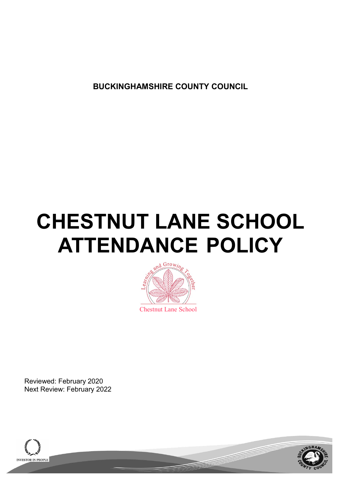**BUCKINGHAMSHIRE COUNTY COUNCIL**

# **CHESTNUT LANE SCHOOL ATTENDANCE POLICY**



Reviewed: February 2020 Next Review: February 2022



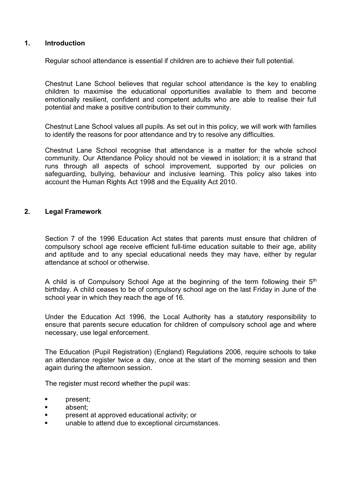### **1. Introduction**

Regular school attendance is essential if children are to achieve their full potential.

Chestnut Lane School believes that regular school attendance is the key to enabling children to maximise the educational opportunities available to them and become emotionally resilient, confident and competent adults who are able to realise their full potential and make a positive contribution to their community.

Chestnut Lane School values all pupils. As set out in this policy, we will work with families to identify the reasons for poor attendance and try to resolve any difficulties.

Chestnut Lane School recognise that attendance is a matter for the whole school community. Our Attendance Policy should not be viewed in isolation; it is a strand that runs through all aspects of school improvement, supported by our policies on safeguarding, bullying, behaviour and inclusive learning. This policy also takes into account the Human Rights Act 1998 and the Equality Act 2010.

#### **2. Legal Framework**

Section 7 of the 1996 Education Act states that parents must ensure that children of compulsory school age receive efficient full-time education suitable to their age, ability and aptitude and to any special educational needs they may have, either by regular attendance at school or otherwise.

A child is of Compulsory School Age at the beginning of the term following their 5<sup>th</sup> birthday. A child ceases to be of compulsory school age on the last Friday in June of the school year in which they reach the age of 16.

Under the Education Act 1996, the Local Authority has a statutory responsibility to ensure that parents secure education for children of compulsory school age and where necessary, use legal enforcement.

The Education (Pupil Registration) (England) Regulations 2006, require schools to take an attendance register twice a day, once at the start of the morning session and then again during the afternoon session.

The register must record whether the pupil was:

- present;
- absent;
- **•** present at approved educational activity; or
- unable to attend due to exceptional circumstances.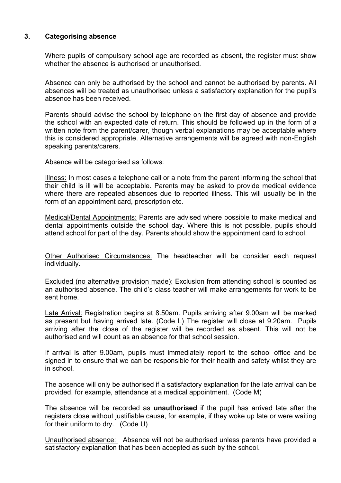## **3. Categorising absence**

Where pupils of compulsory school age are recorded as absent, the register must show whether the absence is authorised or unauthorised.

Absence can only be authorised by the school and cannot be authorised by parents. All absences will be treated as unauthorised unless a satisfactory explanation for the pupil's absence has been received.

Parents should advise the school by telephone on the first day of absence and provide the school with an expected date of return. This should be followed up in the form of a written note from the parent/carer, though verbal explanations may be acceptable where this is considered appropriate. Alternative arrangements will be agreed with non-English speaking parents/carers.

Absence will be categorised as follows:

Illness: In most cases a telephone call or a note from the parent informing the school that their child is ill will be acceptable. Parents may be asked to provide medical evidence where there are repeated absences due to reported illness. This will usually be in the form of an appointment card, prescription etc.

Medical/Dental Appointments: Parents are advised where possible to make medical and dental appointments outside the school day. Where this is not possible, pupils should attend school for part of the day. Parents should show the appointment card to school.

Other Authorised Circumstances: The headteacher will be consider each request individually.

Excluded (no alternative provision made): Exclusion from attending school is counted as an authorised absence. The child's class teacher will make arrangements for work to be sent home.

Late Arrival: Registration begins at 8.50am. Pupils arriving after 9.00am will be marked as present but having arrived late. (Code L) The register will close at 9.20am. Pupils arriving after the close of the register will be recorded as absent. This will not be authorised and will count as an absence for that school session.

If arrival is after 9.00am, pupils must immediately report to the school office and be signed in to ensure that we can be responsible for their health and safety whilst they are in school.

The absence will only be authorised if a satisfactory explanation for the late arrival can be provided, for example, attendance at a medical appointment. (Code M)

The absence will be recorded as **unauthorised** if the pupil has arrived late after the registers close without justifiable cause, for example, if they woke up late or were waiting for their uniform to dry. (Code U)

Unauthorised absence: Absence will not be authorised unless parents have provided a satisfactory explanation that has been accepted as such by the school.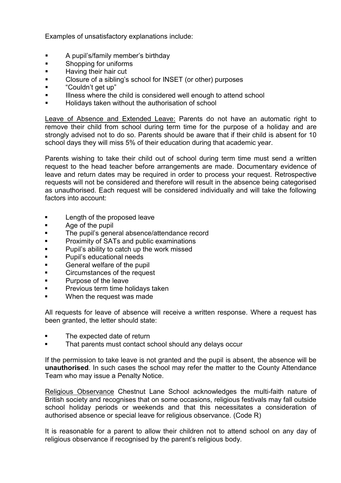Examples of unsatisfactory explanations include:

- A pupil's/family member's birthday
- Shopping for uniforms
- Having their hair cut
- Closure of a sibling's school for INSET (or other) purposes
- "Couldn't get up"
- Illness where the child is considered well enough to attend school
- Holidays taken without the authorisation of school

Leave of Absence and Extended Leave: Parents do not have an automatic right to remove their child from school during term time for the purpose of a holiday and are strongly advised not to do so. Parents should be aware that if their child is absent for 10 school days they will miss 5% of their education during that academic year.

Parents wishing to take their child out of school during term time must send a written request to the head teacher before arrangements are made. Documentary evidence of leave and return dates may be required in order to process your request. Retrospective requests will not be considered and therefore will result in the absence being categorised as unauthorised. Each request will be considered individually and will take the following factors into account:

- Length of the proposed leave
- Age of the pupil
- The pupil's general absence/attendance record
- **•** Proximity of SATs and public examinations
- Pupil's ability to catch up the work missed
- Pupil's educational needs
- General welfare of the pupil
- Circumstances of the request
- Purpose of the leave
- Previous term time holidays taken
- When the request was made

All requests for leave of absence will receive a written response. Where a request has been granted, the letter should state:

- The expected date of return
- That parents must contact school should any delays occur

If the permission to take leave is not granted and the pupil is absent, the absence will be **unauthorised**. In such cases the school may refer the matter to the County Attendance Team who may issue a Penalty Notice.

Religious Observance Chestnut Lane School acknowledges the multi-faith nature of British society and recognises that on some occasions, religious festivals may fall outside school holiday periods or weekends and that this necessitates a consideration of authorised absence or special leave for religious observance. (Code R)

It is reasonable for a parent to allow their children not to attend school on any day of religious observance if recognised by the parent's religious body.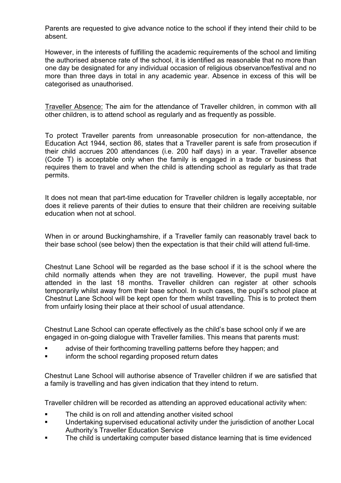Parents are requested to give advance notice to the school if they intend their child to be absent.

However, in the interests of fulfilling the academic requirements of the school and limiting the authorised absence rate of the school, it is identified as reasonable that no more than one day be designated for any individual occasion of religious observance/festival and no more than three days in total in any academic year. Absence in excess of this will be categorised as unauthorised.

Traveller Absence: The aim for the attendance of Traveller children, in common with all other children, is to attend school as regularly and as frequently as possible.

To protect Traveller parents from unreasonable prosecution for non-attendance, the Education Act 1944, section 86, states that a Traveller parent is safe from prosecution if their child accrues 200 attendances (i.e. 200 half days) in a year. Traveller absence (Code T) is acceptable only when the family is engaged in a trade or business that requires them to travel and when the child is attending school as regularly as that trade permits.

It does not mean that part-time education for Traveller children is legally acceptable, nor does it relieve parents of their duties to ensure that their children are receiving suitable education when not at school.

When in or around Buckinghamshire, if a Traveller family can reasonably travel back to their base school (see below) then the expectation is that their child will attend full-time.

Chestnut Lane School will be regarded as the base school if it is the school where the child normally attends when they are not travelling. However, the pupil must have attended in the last 18 months. Traveller children can register at other schools temporarily whilst away from their base school. In such cases, the pupil's school place at Chestnut Lane School will be kept open for them whilst travelling. This is to protect them from unfairly losing their place at their school of usual attendance.

Chestnut Lane School can operate effectively as the child's base school only if we are engaged in on-going dialogue with Traveller families. This means that parents must:

- advise of their forthcoming travelling patterns before they happen; and
- inform the school regarding proposed return dates

Chestnut Lane School will authorise absence of Traveller children if we are satisfied that a family is travelling and has given indication that they intend to return.

Traveller children will be recorded as attending an approved educational activity when:

- The child is on roll and attending another visited school
- Undertaking supervised educational activity under the jurisdiction of another Local Authority's Traveller Education Service
- The child is undertaking computer based distance learning that is time evidenced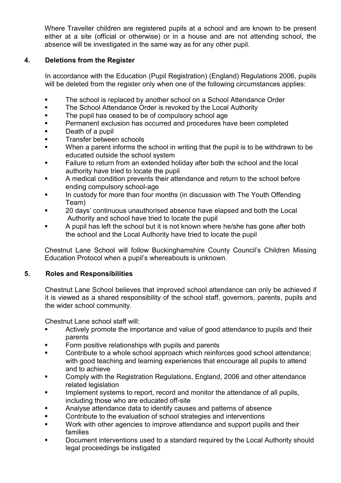Where Traveller children are registered pupils at a school and are known to be present either at a site (official or otherwise) or in a house and are not attending school, the absence will be investigated in the same way as for any other pupil.

# **4. Deletions from the Register**

In accordance with the Education (Pupil Registration) (England) Regulations 2006, pupils will be deleted from the register only when one of the following circumstances applies:

- The school is replaced by another school on a School Attendance Order
- The School Attendance Order is revoked by the Local Authority
- The pupil has ceased to be of compulsory school age
- Permanent exclusion has occurred and procedures have been completed
- Death of a pupil
- Transfer between schools
- When a parent informs the school in writing that the pupil is to be withdrawn to be educated outside the school system
- Failure to return from an extended holiday after both the school and the local authority have tried to locate the pupil
- A medical condition prevents their attendance and return to the school before ending compulsory school-age
- **■** In custody for more than four months (in discussion with The Youth Offending Team)
- 20 days' continuous unauthorised absence have elapsed and both the Local Authority and school have tried to locate the pupil
- A pupil has left the school but it is not known where he/she has gone after both the school and the Local Authority have tried to locate the pupil

Chestnut Lane School will follow Buckinghamshire County Council's Children Missing Education Protocol when a pupil's whereabouts is unknown.

## **5. Roles and Responsibilities**

Chestnut Lane School believes that improved school attendance can only be achieved if it is viewed as a shared responsibility of the school staff, governors, parents, pupils and the wider school community.

Chestnut Lane school staff will:

- Actively promote the importance and value of good attendance to pupils and their parents
- Form positive relationships with pupils and parents
- Contribute to a whole school approach which reinforces good school attendance; with good teaching and learning experiences that encourage all pupils to attend and to achieve
- Comply with the Registration Regulations, England, 2006 and other attendance related legislation
- Implement systems to report, record and monitor the attendance of all pupils, including those who are educated off-site
- Analyse attendance data to identify causes and patterns of absence
- Contribute to the evaluation of school strategies and interventions
- Work with other agencies to improve attendance and support pupils and their families
- Document interventions used to a standard required by the Local Authority should legal proceedings be instigated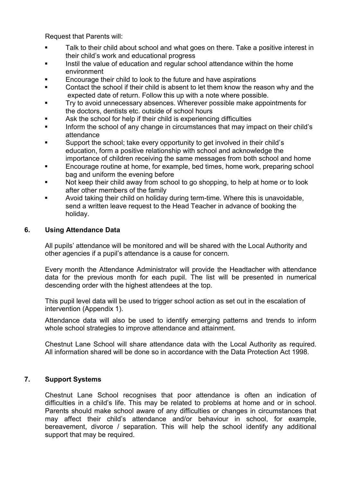Request that Parents will:

- Talk to their child about school and what goes on there. Take a positive interest in their child's work and educational progress
- Instil the value of education and regular school attendance within the home environment
- Encourage their child to look to the future and have aspirations
- Contact the school if their child is absent to let them know the reason why and the expected date of return. Follow this up with a note where possible.
- Try to avoid unnecessary absences. Wherever possible make appointments for the doctors, dentists etc. outside of school hours
- Ask the school for help if their child is experiencing difficulties
- Inform the school of any change in circumstances that may impact on their child's attendance
- Support the school; take every opportunity to get involved in their child's education, form a positive relationship with school and acknowledge the importance of children receiving the same messages from both school and home
- Encourage routine at home, for example, bed times, home work, preparing school bag and uniform the evening before
- Not keep their child away from school to go shopping, to help at home or to look after other members of the family
- Avoid taking their child on holiday during term-time. Where this is unavoidable, send a written leave request to the Head Teacher in advance of booking the holiday.

## **6. Using Attendance Data**

All pupils' attendance will be monitored and will be shared with the Local Authority and other agencies if a pupil's attendance is a cause for concern.

Every month the Attendance Administrator will provide the Headtacher with attendance data for the previous month for each pupil. The list will be presented in numerical descending order with the highest attendees at the top.

This pupil level data will be used to trigger school action as set out in the escalation of intervention (Appendix 1).

Attendance data will also be used to identify emerging patterns and trends to inform whole school strategies to improve attendance and attainment.

Chestnut Lane School will share attendance data with the Local Authority as required. All information shared will be done so in accordance with the Data Protection Act 1998.

## **7. Support Systems**

Chestnut Lane School recognises that poor attendance is often an indication of difficulties in a child's life. This may be related to problems at home and or in school. Parents should make school aware of any difficulties or changes in circumstances that may affect their child's attendance and/or behaviour in school, for example, bereavement, divorce / separation. This will help the school identify any additional support that may be required.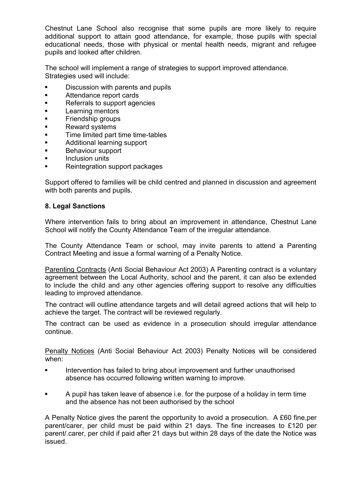Chestnut Lane School also recognise that some pupils are more likely to require additional support to attain good attendance, for example, those pupils with special educational needs, those with physical or mental health needs, migrant and refugee pupils and looked after children.

The school will implement a range of strategies to support improved attendance. Strategies used will include:

- Discussion with parents and pupils
- Attendance report cards
- Referrals to support agencies
- Learning mentors
- Friendship groups
- Reward systems
- Time limited part time time-tables
- Additional learning support
- Behaviour support
- Inclusion units
- Reintegration support packages

Support offered to families will be child centred and planned in discussion and agreement with both parents and pupils.

### **8. Legal Sanctions**

Where intervention fails to bring about an improvement in attendance, Chestnut Lane School will notify the County Attendance Team of the irregular attendance.

The County Attendance Team or school, may invite parents to attend a Parenting Contract Meeting and issue a formal warning of a Penalty Notice.

Parenting Contracts (Anti Social Behaviour Act 2003) A Parenting contract is a voluntary agreement between the Local Authority, school and the parent, it can also be extended to include the child and any other agencies offering support to resolve any difficulties leading to improved attendance.

The contract will outline attendance targets and will detail agreed actions that will help to achieve the target. The contract will be reviewed regularly.

The contract can be used as evidence in a prosecution should irregular attendance continue.

Penalty Notices (Anti Social Behaviour Act 2003) Penalty Notices will be considered when:

- Intervention has failed to bring about improvement and further unauthorised absence has occurred following written warning to improve.
- A pupil has taken leave of absence i.e. for the purpose of a holiday in term time and the absence has not been authorised by the school

A Penalty Notice gives the parent the opportunity to avoid a prosecution. A £60 fine,per parent/carer, per child must be paid within 21 days. The fine increases to £120 per parent/.carer, per child if paid after 21 days but within 28 days of the date the Notice was issued.